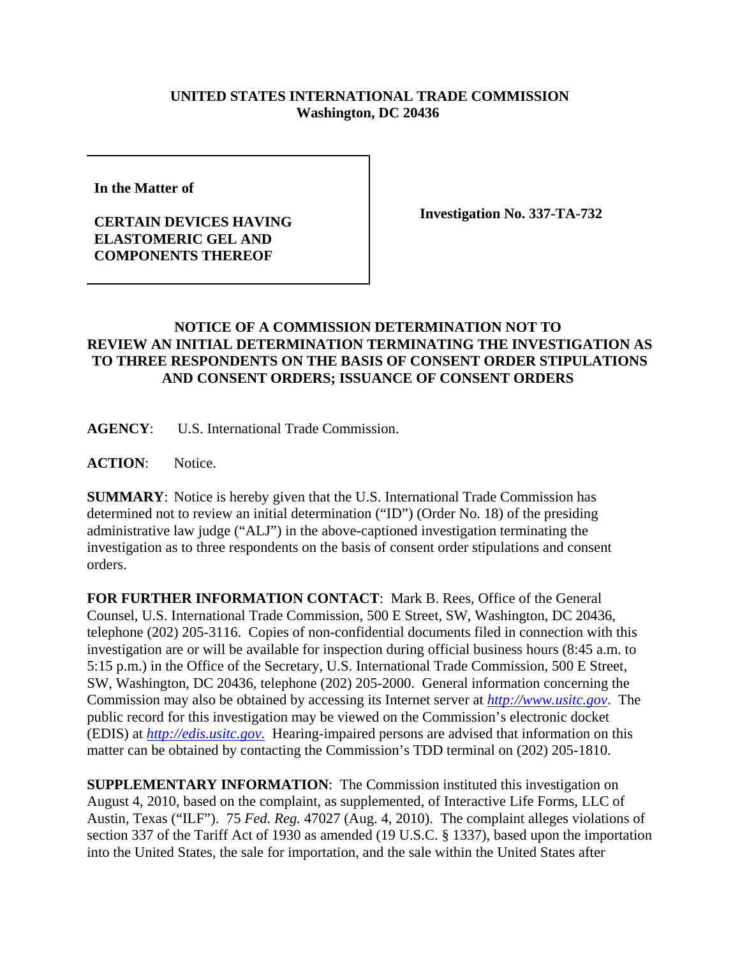## **UNITED STATES INTERNATIONAL TRADE COMMISSION Washington, DC 20436**

**In the Matter of**

## **CERTAIN DEVICES HAVING ELASTOMERIC GEL AND COMPONENTS THEREOF**

**Investigation No. 337-TA-732**

## **NOTICE OF A COMMISSION DETERMINATION NOT TO REVIEW AN INITIAL DETERMINATION TERMINATING THE INVESTIGATION AS TO THREE RESPONDENTS ON THE BASIS OF CONSENT ORDER STIPULATIONS AND CONSENT ORDERS; ISSUANCE OF CONSENT ORDERS**

**AGENCY**: U.S. International Trade Commission.

**ACTION**: Notice.

**SUMMARY**: Notice is hereby given that the U.S. International Trade Commission has determined not to review an initial determination ("ID") (Order No. 18) of the presiding administrative law judge ("ALJ") in the above-captioned investigation terminating the investigation as to three respondents on the basis of consent order stipulations and consent orders.

**FOR FURTHER INFORMATION CONTACT**:Mark B. Rees, Office of the General Counsel, U.S. International Trade Commission, 500 E Street, SW, Washington, DC 20436, telephone (202) 205-3116. Copies of non-confidential documents filed in connection with this investigation are or will be available for inspection during official business hours (8:45 a.m. to 5:15 p.m.) in the Office of the Secretary, U.S. International Trade Commission, 500 E Street, SW, Washington, DC 20436, telephone (202) 205-2000. General information concerning the Commission may also be obtained by accessing its Internet server at *http://www.usitc.gov*. The public record for this investigation may be viewed on the Commission's electronic docket (EDIS) at *http://edis.usitc.gov*. Hearing-impaired persons are advised that information on this matter can be obtained by contacting the Commission's TDD terminal on (202) 205-1810.

**SUPPLEMENTARY INFORMATION:** The Commission instituted this investigation on August 4, 2010, based on the complaint, as supplemented, of Interactive Life Forms, LLC of Austin, Texas ("ILF"). 75 *Fed. Reg.* 47027 (Aug. 4, 2010). The complaint alleges violations of section 337 of the Tariff Act of 1930 as amended (19 U.S.C. § 1337), based upon the importation into the United States, the sale for importation, and the sale within the United States after